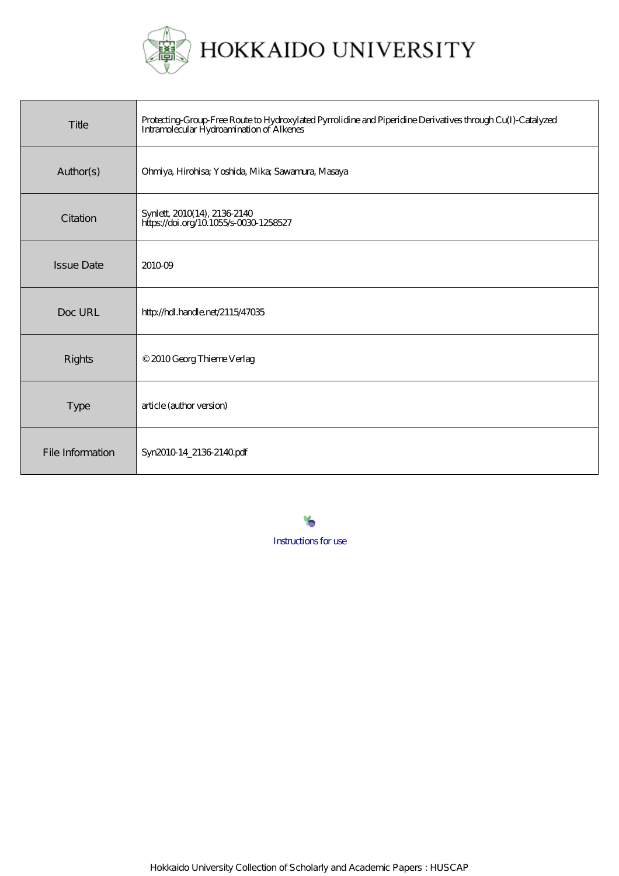

| Title             | Protecting Group Free Route to Hydroxylated Pyrrolidine and Piperidine Derivatives through Cu(I)-Catalyzed<br>Intramolecular Hydroamination of Alkenes |  |  |
|-------------------|--------------------------------------------------------------------------------------------------------------------------------------------------------|--|--|
| Author(s)         | Ohniya, Hirohisa; Yoshida, Mika; Sawamura, Masaya                                                                                                      |  |  |
| Citation          | Synlett, 2010(14), 2136-2140<br>https://doi.org/10.1055/s-0030-1258527                                                                                 |  |  |
| <b>Issue Date</b> | 201009                                                                                                                                                 |  |  |
| Doc URL           | http://hdl.handle.net/2115/47035                                                                                                                       |  |  |
| <b>Rights</b>     | © 2010 Georg Thieme Verlag                                                                                                                             |  |  |
| <b>Type</b>       | article (author version)                                                                                                                               |  |  |
| File Information  | Syn2010 14_2136 2140 pdf                                                                                                                               |  |  |

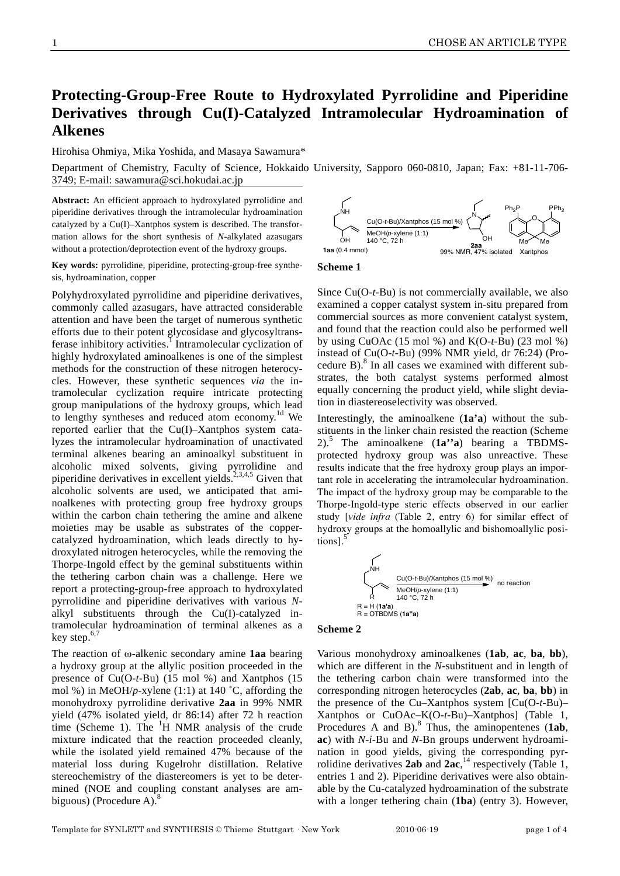# **Protecting-Group-Free Route to Hydroxylated Pyrrolidine and Piperidine Derivatives through Cu(I)-Catalyzed Intramolecular Hydroamination of Alkenes**

Hirohisa Ohmiya, Mika Yoshida, and Masaya Sawamura\*

Department of Chemistry, Faculty of Science, Hokkaido University, Sapporo 060-0810, Japan; Fax: +81-11-706- 3749; E-mail: sawamura@sci.hokudai.ac.jp

**Abstract:** An efficient approach to hydroxylated pyrrolidine and piperidine derivatives through the intramolecular hydroamination catalyzed by a Cu(I)–Xantphos system is described. The transformation allows for the short synthesis of *N*-alkylated azasugars without a protection/deprotection event of the hydroxy groups.

**Key words:** pyrrolidine, piperidine, protecting-group-free synthesis, hydroamination, copper

Polyhydroxylated pyrrolidine and piperidine derivatives, commonly called azasugars, have attracted considerable attention and have been the target of numerous synthetic efforts due to their potent glycosidase and glycosyltransferase inhibitory activities.<sup>1</sup> Intramolecular cyclization of highly hydroxylated aminoalkenes is one of the simplest methods for the construction of these nitrogen heterocycles. However, these synthetic sequences *via* the intramolecular cyclization require intricate protecting group manipulations of the hydroxy groups, which lead to lengthy syntheses and reduced atom economy.<sup>1d</sup> We reported earlier that the Cu(I)–Xantphos system catalyzes the intramolecular hydroamination of unactivated terminal alkenes bearing an aminoalkyl substituent in alcoholic mixed solvents, giving pyrrolidine and piperidine derivatives in excellent yields.<sup>2,3,4,5</sup> Given that alcoholic solvents are used, we anticipated that aminoalkenes with protecting group free hydroxy groups within the carbon chain tethering the amine and alkene moieties may be usable as substrates of the coppercatalyzed hydroamination, which leads directly to hydroxylated nitrogen heterocycles, while the removing the Thorpe-Ingold effect by the geminal substituents within the tethering carbon chain was a challenge. Here we report a protecting-group-free approach to hydroxylated pyrrolidine and piperidine derivatives with various *N*alkyl substituents through the Cu(I)-catalyzed intramolecular hydroamination of terminal alkenes as a key step.<sup>6,7</sup>

The reaction of  $\omega$ -alkenic secondary amine **1aa** bearing a hydroxy group at the allylic position proceeded in the presence of Cu(O-*t-*Bu) (15 mol %) and Xantphos (15 mol %) in MeOH/*p*-xylene (1:1) at 140 ˚C, affording the monohydroxy pyrrolidine derivative **2aa** in 99% NMR yield (47% isolated yield, dr 86:14) after 72 h reaction time (Scheme 1). The  ${}^{1}H$  NMR analysis of the crude mixture indicated that the reaction proceeded cleanly, while the isolated yield remained 47% because of the material loss during Kugelrohr distillation. Relative stereochemistry of the diastereomers is yet to be determined (NOE and coupling constant analyses are ambiguous) (Procedure A). $8$ 





Since Cu(O-*t*-Bu) is not commercially available, we also examined a copper catalyst system in-situ prepared from commercial sources as more convenient catalyst system, and found that the reaction could also be performed well by using CuOAc (15 mol %) and K(O-*t*-Bu) (23 mol %) instead of Cu(O-*t*-Bu) (99% NMR yield, dr 76:24) (Procedure B). $8$  In all cases we examined with different substrates, the both catalyst systems performed almost equally concerning the product yield, while slight deviation in diastereoselectivity was observed.

Interestingly, the aminoalkene (**1a'a**) without the substituents in the linker chain resisted the reaction (Scheme 2).<sup>5</sup> The aminoalkene (**1a''a**) bearing a TBDMSprotected hydroxy group was also unreactive. These results indicate that the free hydroxy group plays an important role in accelerating the intramolecular hydroamination. The impact of the hydroxy group may be comparable to the Thorpe-Ingold-type steric effects observed in our earlier study [*vide infra* (Table 2, entry 6) for similar effect of hydroxy groups at the homoallylic and bishomoallylic positions].<sup>5</sup>



## **Scheme 2**

Various monohydroxy aminoalkenes (**1ab**, **ac**, **ba**, **bb**), which are different in the *N*-substituent and in length of the tethering carbon chain were transformed into the corresponding nitrogen heterocycles (**2ab**, **ac**, **ba**, **bb**) in the presence of the Cu–Xantphos system [Cu(O-*t*-Bu)– Xantphos or CuOAc–K(O-*t*-Bu)–Xantphos] (Table 1, Procedures A and B).<sup>8</sup> Thus, the aminopentenes (1ab, **ac**) with *N*-*i-*Bu and *N*-Bn groups underwent hydroamination in good yields, giving the corresponding pyrrolidine derivatives 2ab and  $2ac$ <sup>14</sup>, respectively (Table 1, entries 1 and 2). Piperidine derivatives were also obtainable by the Cu-catalyzed hydroamination of the substrate with a longer tethering chain (**1ba**) (entry 3). However,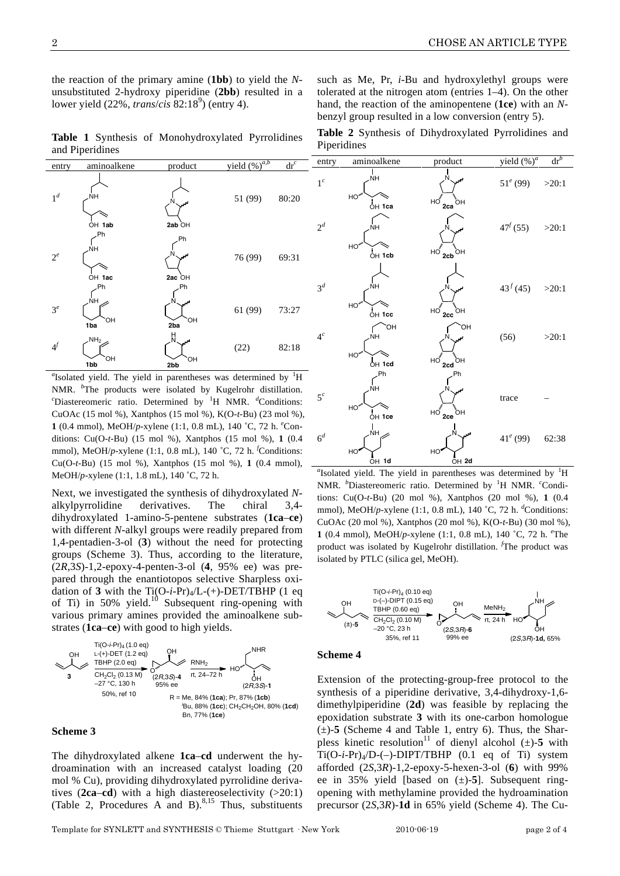the reaction of the primary amine (**1bb**) to yield the *N*unsubstituted 2-hydroxy piperidine (**2bb**) resulted in a lower yield (22%, *trans/cis* 82:18<sup>9</sup>) (entry 4).

**Table 1** Synthesis of Monohydroxylated Pyrrolidines and Piperidines



 $a$ <sup>a</sup> Isolated yield. The yield in parentheses was determined by  $\rm{^1H}$ NMR. *<sup>b</sup>* The products were isolated by Kugelrohr distillation. *c* Diastereomeric ratio. Determined by <sup>1</sup> H NMR. *<sup>d</sup>* Conditions: CuOAc (15 mol %), Xantphos (15 mol %), K(O-*t-*Bu) (23 mol %), **1** (0.4 mmol), MeOH/*p*-xylene (1:1, 0.8 mL), 140 ˚C, 72 h. *<sup>e</sup>* Conditions: Cu(O-*t-*Bu) (15 mol %), Xantphos (15 mol %), **1** (0.4 mmol), MeOH/*p*-xylene (1:1, 0.8 mL), 140 ˚C, 72 h. *<sup>f</sup>* Conditions: Cu(O-*t-*Bu) (15 mol %), Xantphos (15 mol %), **1** (0.4 mmol), MeOH/*p*-xylene (1:1, 1.8 mL), 140 ˚C, 72 h.

Next, we investigated the synthesis of dihydroxylated *N*alkylpyrrolidine derivatives. The chiral 3,4 dihydroxylated 1-amino-5-pentene substrates (**1ca**–**ce**) with different *N*-alkyl groups were readily prepared from 1,4-pentadien-3-ol (**3**) without the need for protecting groups (Scheme 3). Thus, according to the literature, (2*R*,3*S*)-1,2-epoxy-4-penten-3-ol (**4**, 95% ee) was prepared through the enantiotopos selective Sharpless oxidation of **3** with the  $Ti(O-i-Pr)_{4}/L$ -(+)-DET/TBHP (1 eq of Ti) in  $50\%$  yield.<sup>10</sup> Subsequent ring-opening with various primary amines provided the aminoalkene substrates (**1ca**–**ce**) with good to high yields.



### **Scheme 3**

The dihydroxylated alkene **1ca**–**cd** underwent the hydroamination with an increased catalyst loading (20 mol % Cu), providing dihydroxylated pyrrolidine derivatives  $(2ca-cd)$  with a high diastereoselectivity  $(>20:1)$ (Table 2, Procedures A and B). $8,15$  Thus, substituents

such as Me, Pr, *i-*Bu and hydroxylethyl groups were tolerated at the nitrogen atom (entries 1–4). On the other hand, the reaction of the aminopentene (**1ce**) with an *N*benzyl group resulted in a low conversion (entry 5).

**Table 2** Synthesis of Dihydroxylated Pyrrolidines and Piperidines

| entry            | aminoalkene                                | product                                         | yield $(\frac{9}{6})^a$ | $\mathrm{dr}^b$ |
|------------------|--------------------------------------------|-------------------------------------------------|-------------------------|-----------------|
| $1^c$            | NΗ<br>$HO^{\omega}$                        | لى                                              | $51^e (99)$             | >20:1           |
| $2^d$            | OH 1ca<br>NΗ<br>HO <sup>ww</sup><br>OH 1cb | $HO \bigg _{2ca}$<br>ÓН<br>$HO$ $2cb$ OH        | $47^{f}(55)$            | >20:1           |
| $\mathfrak{Z}^d$ | ŇΗ<br>$HO^{\omega\omega}$<br>OH 1cc        | HO<br>,<br>ОН<br>2cc                            | $43^{f} (45)$ >20:1     |                 |
| $4^c$            | OH<br>ŃH<br>$HO^{w}$<br>OH 1cd             | <b>OH</b><br>$HO$ <sub>2cd</sub><br>$_{\rm OH}$ | (56)                    | >20:1           |
| $5^c$            | Ph<br>ŃH<br>$HO^{w}$<br>OH 1ce             | Ph<br>$H_0$<br>.<br>ОН<br>2ce                   | trace                   |                 |
| 6 <sup>d</sup>   | <br>Nн<br>HO<br>OH 1d                      | HO<br>OH <sub>2d</sub>                          | $41^e(99)$              | 62:38           |

<sup>*a*</sup> Isolated yield. The yield in parentheses was determined by <sup>1</sup>H NMR. *<sup>b</sup>* Diastereomeric ratio. Determined by <sup>1</sup> H NMR. *<sup>c</sup>* Conditions: Cu(O-*t-*Bu) (20 mol %), Xantphos (20 mol %), **1** (0.4 mmol), MeOH/p-xylene (1:1, 0.8 mL), 140 °C, 72 h. <sup>*d*</sup>Conditions: CuOAc (20 mol %), Xantphos (20 mol %), K(O-*t-*Bu) (30 mol %), **1** (0.4 mmol), MeOH/*p*-xylene (1:1, 0.8 mL), 140 ˚C, 72 h. *<sup>e</sup>* The product was isolated by Kugelrohr distillation. *<sup>f</sup>* The product was isolated by PTLC (silica gel, MeOH).



#### **Scheme 4**

Extension of the protecting-group-free protocol to the synthesis of a piperidine derivative, 3,4-dihydroxy-1,6 dimethylpiperidine (**2d**) was feasible by replacing the epoxidation substrate **3** with its one-carbon homologue  $(\pm)$ -**5** (Scheme 4 and Table 1, entry 6). Thus, the Sharpless kinetic resolution<sup>11</sup> of dienyl alcohol  $(\pm)$ -5 with Ti(O-*i*-Pr)4/D-(–)-DIPT/TBHP (0.1 eq of Ti) system afforded (2*S*,3*R*)-1,2-epoxy-5-hexen-3-ol (**6**) with 99% ee in 35% yield [based on (±)-**5**]. Subsequent ringopening with methylamine provided the hydroamination precursor (2*S*,3*R*)-**1d** in 65% yield (Scheme 4). The Cu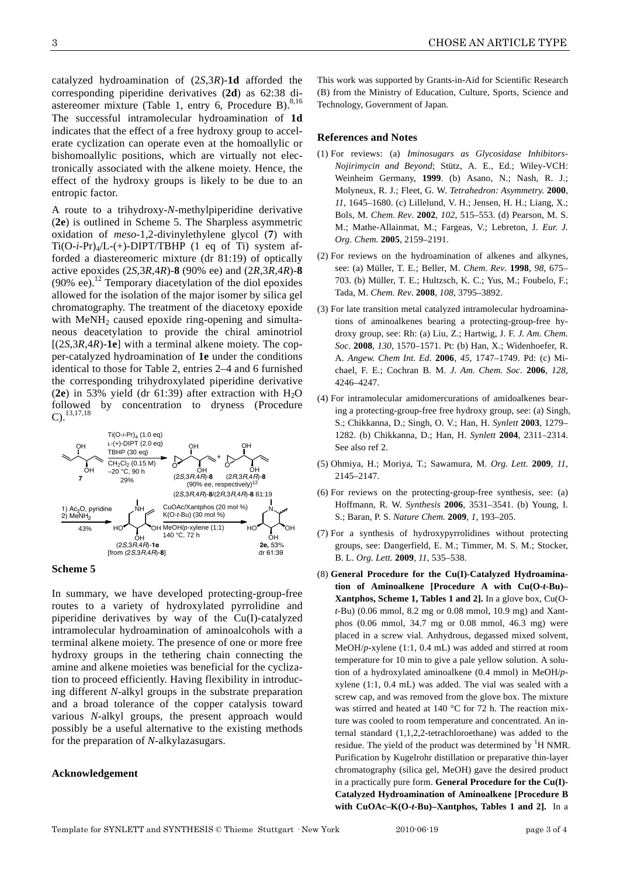catalyzed hydroamination of (2*S*,3*R*)-**1d** afforded the corresponding piperidine derivatives (**2d**) as 62:38 diastereomer mixture (Table 1, entry 6, Procedure B). $8,16$ The successful intramolecular hydroamination of **1d** indicates that the effect of a free hydroxy group to accelerate cyclization can operate even at the homoallylic or bishomoallylic positions, which are virtually not electronically associated with the alkene moiety. Hence, the effect of the hydroxy groups is likely to be due to an entropic factor.

A route to a trihydroxy-*N*-methylpiperidine derivative (**2e**) is outlined in Scheme 5. The Sharpless asymmetric oxidation of *meso*-1,2-divinylethylene glycol (**7**) with  $Ti(O-i-Pr)<sub>4</sub>/L-(+)-DIPT/TBHP$  (1 eq of Ti) system afforded a diastereomeric mixture (dr 81:19) of optically active epoxides (2*S*,3*R*,4*R*)-**8** (90% ee) and (2*R*,3*R*,4*R*)-**8**  (90% ee).<sup>12</sup> Temporary diacetylation of the diol epoxides allowed for the isolation of the major isomer by silica gel chromatography. The treatment of the diacetoxy epoxide with  $MeNH<sub>2</sub>$  caused epoxide ring-opening and simultaneous deacetylation to provide the chiral aminotriol [(2*S*,3*R*,4*R*)-**1e**] with a terminal alkene moiety. The copper-catalyzed hydroamination of **1e** under the conditions identical to those for Table 2, entries 2–4 and 6 furnished the corresponding trihydroxylated piperidine derivative (**2e**) in 53% yield (dr  $61:39$ ) after extraction with  $H_2O$ followed by concentration to dryness (Procedure  $C$ ).  $13,17,18$ 



#### **Scheme 5**

In summary, we have developed protecting-group-free routes to a variety of hydroxylated pyrrolidine and piperidine derivatives by way of the Cu(I)-catalyzed intramolecular hydroamination of aminoalcohols with a terminal alkene moiety. The presence of one or more free hydroxy groups in the tethering chain connecting the amine and alkene moieties was beneficial for the cyclization to proceed efficiently. Having flexibility in introducing different *N*-alkyl groups in the substrate preparation and a broad tolerance of the copper catalysis toward various *N*-alkyl groups, the present approach would possibly be a useful alternative to the existing methods for the preparation of *N*-alkylazasugars.

#### **Acknowledgement**

This work was supported by Grants-in-Aid for Scientific Research (B) from the Ministry of Education, Culture, Sports, Science and Technology, Government of Japan.

#### **References and Notes**

- (1) For reviews: (a) *Iminosugars as Glycosidase Inhibitors-Nojirimycin and Beyond*; Stütz, A. E., Ed.; Wiley-VCH: Weinheim Germany, **1999**. (b) Asano, N.; Nash, R. J.; Molyneux, R. J.; Fleet, G. W. *Tetrahedron: Asymmetry.* **2000**, *11*, 1645–1680. (c) Lillelund, V. H.; Jensen, H. H.; Liang, X.; Bols, M. *Chem. Rev*. **2002**, *102*, 515–553. (d) Pearson, M. S. M.; Mathe-Allainmat, M.; Fargeas, V.; Lebreton, J. *Eur. J. Org. Chem.* **2005**, 2159–2191.
- (2) For reviews on the hydroamination of alkenes and alkynes, see: (a) Müller, T. E.; Beller, M. *Chem. Rev*. **1998**, *98*, 675– 703. (b) Müller, T. E.; Hultzsch, K. C.; Yus, M.; Foubelo, F.; Tada, M. *Chem. Rev*. **2008**, *108*, 3795–3892.
- (3) For late transition metal catalyzed intramolecular hydroaminations of aminoalkenes bearing a protecting-group-free hydroxy group, see: Rh: (a) Liu, Z.; Hartwig, J. F. *J. Am. Chem. Soc*. **2008**, *130,* 1570–1571. Pt: (b) Han, X.; Widenhoefer, R. A. *Angew. Chem Int. Ed*. **2006**, *45,* 1747–1749. Pd: (c) Michael, F. E.; Cochran B. M. *J. Am. Chem. Soc*. **2006**, *128*, 4246–4247.
- (4) For intramolecular amidomercurations of amidoalkenes bearing a protecting-group-free free hydroxy group, see: (a) Singh, S.; Chikkanna, D.; Singh, O. V.; Han, H. *Synlett* **2003**, 1279– 1282. (b) Chikkanna, D.; Han, H. *Synlett* **2004**, 2311–2314. See also ref 2.
- (5) Ohmiya, H.; Moriya, T.; Sawamura, M. *Org. Lett.* **2009**, *11*, 2145–2147.
- (6) For reviews on the protecting-group-free synthesis, see: (a) Hoffmann, R. W. *Synthesis* **2006**, 3531–3541. (b) Young, I. S.; Baran, P. S. *Nature Chem.* **2009**, *1*, 193–205.
- (7) For a synthesis of hydroxypyrrolidines without protecting groups, see: Dangerfield, E. M.; Timmer, M. S. M.; Stocker, B. L. *Org. Lett.* **2009**, *11*, 535–538.
- (8) **General Procedure for the Cu(I)-Catalyzed Hydroamination of Aminoalkene [Procedure A with Cu(O-***t***-Bu)– Xantphos, Scheme 1, Tables 1 and 2].** In a glove box, Cu(O*t*-Bu) (0.06 mmol, 8.2 mg or 0.08 mmol, 10.9 mg) and Xantphos (0.06 mmol, 34.7 mg or 0.08 mmol, 46.3 mg) were placed in a screw vial. Anhydrous, degassed mixed solvent, MeOH/*p-*xylene (1:1, 0.4 mL) was added and stirred at room temperature for 10 min to give a pale yellow solution. A solution of a hydroxylated aminoalkene (0.4 mmol) in MeOH/*p*xylene (1:1, 0.4 mL) was added. The vial was sealed with a screw cap, and was removed from the glove box. The mixture was stirred and heated at 140 °C for 72 h. The reaction mixture was cooled to room temperature and concentrated. An internal standard (1,1,2,2-tetrachloroethane) was added to the residue. The yield of the product was determined by  ${}^{1}$ H NMR. Purification by Kugelrohr distillation or preparative thin-layer chromatography (silica gel, MeOH) gave the desired product in a practically pure form. **General Procedure for the Cu(I)- Catalyzed Hydroamination of Aminoalkene [Procedure B with CuOAc–K(O-***t***-Bu)–Xantphos, Tables 1 and 2].** In a